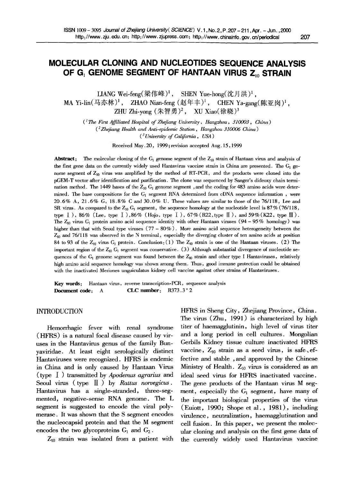# **MOLECULAR CLONING AND NUCLEOTIDES SEQUENCE ANALYSIS**  OF G<sub>1</sub> GENOME SEGMENT OF HANTAAN VIRUS Z<sub>10</sub> STRAIN

LIANG Wei-feng $({\cal R}$ 伟峰)<sup>1</sup>, SHEN Yue-hong $({\cal R}H)$   $\downarrow$ . MA Yi-lin(马亦林)<sup>1</sup>, ZHAO Nian-feng (赵年丰)<sup>1</sup>, CHEN Ya-gang(陈亚岗)<sup>1</sup>, ZHU Zhi-yong  $(*$ 智勇)<sup>2</sup>, XU Xiao(徐晓)<sup>3</sup>

*( ] The First Affiliated Hospital of Zhejiang University, Hangzhou, 310003, China ) ( 2 Zhefiang Health and Anti-epidemic Station, Hangzhou 310006 China ) ( 3 University of California, USA )* 

Received May. 20, 1999 ; revision accepted Aug. 15,1999

**Abstract:** The molecular cloning of the  $G_1$  genome segment of the  $Z_{10}$  strain of Hantaan virus and analysis of the first gene data on the currently widely used Hantavirus vaccine strain in China are presented. The G<sub>1</sub> genome segment of  $Z_{10}$  virus was amplified by the method of RT-PCR, and the products were cloned into the pGEM-T vector after identification and purification. The clone was sequenced by Sanger's dideoxy chain termination method. The 1449 bases of the  $Z_{10}$  G<sub>1</sub> genome segment, and the coding for 483 amino acids were determined. The base compositions for the  $G_1$  segment RNA determined from cDNA sequence information, were 20.6% A, 21.6% G, 18.8% C and 30.0% U. These values are similar to those of the 76/118, Lee and SR virus. As compared to the  $Z_{10}$  G<sub>1</sub> segment, the sequence homology at the nucleotide level is  $87\%$  (76/118, type  $\Box$ ), 86% (Lee, type  $\Box$ ), 86% (Hojo, type  $\Box$ ), 67% (R22, type  $\Box$ ), and 59% (K22, type  $\Box$ ). The  $Z_{10}$  virus G<sub>1</sub> protein amino acid sequence identity with other Hantaan viruses (94 - 95% homology) was higher than that with Seoul type viruses (77 - 80%). More amino acid sequence heterogeneity between the  $Z_{10}$  and 76/118 was observed in the N terminal, especially the diverging cluster of ten amino acids at position 84 to 93 of the  $Z_{10}$  virus G<sub>1</sub> protein. Conclusion: (1) The  $Z_{10}$  strain is one of the Hantaan viruses. (2) The important region of the  $Z_{10}$  G<sub>1</sub> segment was conservative. (3) Although substantial divergence of nucleotide sequences of the  $G_1$  genome segment was found between the  $Z_{10}$  strain and other type I Hantaviruses, relatively high amino acid sequence homology was shown among them. Thus, good immune protection could be obtained with the inactivated Meriones unguiculatus kidney cell vaccine against other strains of Hantaviruses.

Key words: Hantaan virus, reverse transcription-PCR, sequence analysis **Document code:** A **CLC number:** R373.3<sup>+</sup>2

# INTRODUCTION

Hemorrhagic fever with renal syndrome (HFRS) is a natural focal disease caused by viruses in the Hantavirus genus of the family Bunyaviridae. At least eight serologically distinct Hantaviruses were recognized. HFRS is endemic in China and is only caused by Hantaan Virus (type I ) transmitted by *Apodemus agrarius and*  Seoul virus (type  $\llbracket \cdot \rrbracket$ ) by *Rattus norvegicus*. Hantavirus has a single-stranded, three-segmented, negative-sense RNA genome. The L segment is suggested to encode the viral polymerase. It was shown that the S segment encodes the nucleocapsid protein and that the M segment encodes the two glycoproteins  $G_1$  and  $G_2$ .

 $Z_{10}$  strain was isolated from a patient with

HFRS in Sheng City, Zhejiang Province, China. The virus (Zhu, 1991) is characterized by high titer of haemagglutinin, high level of virus titer and a long period in cell cultures. Mongolian Gerbils Kidney tissue culture inactivated HFRS vaccine,  $Z_{10}$  strain as a seed virus, is safe, effective and stable , and approved by the Chinese Ministry of Health.  $Z_{10}$  virus is considered as an ideal seed virus for HFRS inactivated vaccine. The gene products of the Hantaan virus M segment, especially the  $G_1$  segment, have many of the important biological properties of the virus (Euiott, 1990; Shope et al., 1981), including virulence, neutralization, haemagglutination and cell fusion. In this paper, we present the molecular cloning and analysis on the first gene data of the currently widely used Hantavirus vaccine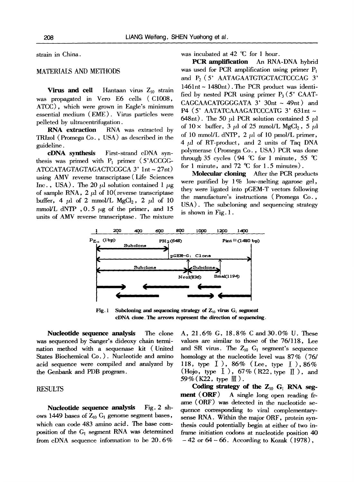strain in China.

# MATERIALS AND METHODS

Virus and cell Hantaan virus  $Z_{10}$  strain was propagated in Vero E6 cells (C1008, ATCC), which were grown in Eagle's minimum essential medium (EME). Virus particles were pelleted by ultracentrifugation.

RNA **extraction** RNA was extracted by TRIzol (Promega Co. , USA) as described in the guideline.

eDNA synthesis First-strand eDNA synthesis was primed with  $P_1$  primer (5'ACCGG-ATCCATAGTAGTAGACTCCGCA 3' 1nt ~ 27nt) using AMV reverse transcriptase (Life Sciences Inc., USA). The 20  $\mu$ l solution contained 1  $\mu$ g of sample RNA,  $2 \mu$ l of 10(reverse transcriptase buffer, 4  $\mu$ l of 2 mmol/L MgCl<sub>2</sub>, 2  $\mu$ l of 10 mmol/L dNTP ,  $0.5 \mu g$  of the primer, and 15 units of AMV reverse transcriptase. The mixture was incubated at 42  $\mathcal{C}$  for 1 hour.

**PCR** amplification An RNA-DNA hybrid was used for PCR amplification using primer  $P_1$ and P2 (5' *AATAGAATGTGCTACTCCCAG 3'*   $1461$ nt ~  $1480$ nt). The PCR product was identified by nested PCR using primer  $P_3$  (5' CAAT-CAGCAACATGGGGATA 3' 30nt ~ 49nt) and P4 (5' AATATCAAAGATCCCATG 3' 631nt ~ 648nt). The 50  $\mu$ l PCR solution contained 5  $\mu$ l of  $10 \times$  buffer,  $3 \mu l$  of  $25 \text{ mmol/L } \text{MgCl}_2$ ,  $5 \mu l$ of 10 mmol/L dNTP, 2  $\mu$ l of 10 pmol/L primer,  $4 \mu l$  of RT-product, and 2 units of Taq DNA polymerase (Promega Co. , USA) PCR was done through 35 cycles (94  $\degree$ C for 1 minute, 55  $\degree$ C for 1 minute, and 72  $\mathcal{C}$  for 1.5 minutes).

Molecular cloning After the PCR products were purified by  $1\%$  low-melting agarose gel, they were ligated into pGEM-T vectors following the manufacture's instructions (Promega Co., USA). The subcloning and sequencing strategy is shown in Fig. 1.



**Fig. 1** Subcloning and sequencing strategy of  $\mathbb{Z}_{10}$  virus  $G_1$  segment **cDNA done. The arrows represent the direction of sequencing.** 

**Nucleotide sequence** analysis The clone was sequenced by Sanger's dideoxy chain termination method with a sequenase kit (United States Biochemical Co. ). Nucleotide and amino acid sequence were compiled and analyzed by the Genbank and PDB program.

# **RESULTS**

Nucleotide sequence analysis Fig. 2 shows 1449 bases of  $Z_{10}$  G<sub>1</sub> genome segment bases, which can code 483 amino acid. The base composition of the  $G_1$  segment RNA was determined from eDNA sequence information to be 20.6%

A, 21.6% G, 18.8% C and 30.0% U. These values are similar to those of the 76/118, Lee and SR virus. The  $Z_{10}$  G<sub>1</sub> segment's sequence homology at the nucleotide level was 87% (76/ 118, type I ), 86% (Lee, type I ), 86% (Hojo, type  $\bar{1}$ ), 67% (R22, type  $\bar{I}$ ), and 59% (K22, type  $\mathbb{II}$ ).

Coding strategy of the  $Z_{10}$  G<sub>t</sub> RNA segment **(ORF) A** single long open reading frame (ORF) was detected in the nucleotide sequence corresponding to viral complementarysense RNA. Within the major ORF, protein synthesis could potentially begin at either of two inframe initiation codons at nucleotide position 40 **-** 42 or 64 - 66. According to Kozak (1978),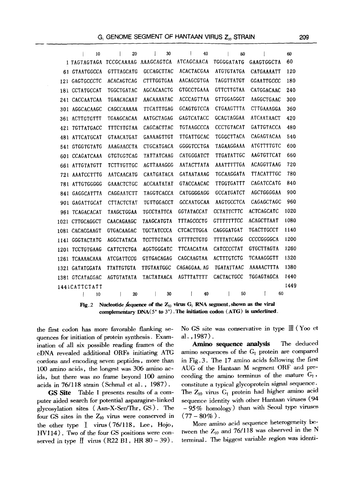|      |                        | 10 |                   | 20 |                   | 30                |                   | 40 |    |                   | 50 |                   |                   |    | 60   |  |
|------|------------------------|----|-------------------|----|-------------------|-------------------|-------------------|----|----|-------------------|----|-------------------|-------------------|----|------|--|
|      | 1 TAGTAGTAGA           |    | TCCGCAAAAG        |    | AAAGCAGTCA        |                   | ATCAGCAACA        |    |    | TGGGGATATG        |    | GAAGTGGCTA        |                   |    | 60   |  |
|      | 61 GTAATGGCCA          |    | GTTTAGCATG        |    |                   | <b>GCCAGCTTAC</b> | ACACTACGAA        |    |    | ATGTGTATGA        |    |                   | CATGAAAATT        |    | 120  |  |
|      | 121 GAGTGCCCTC         |    | <b>ACACAGTCAG</b> |    |                   | <b>CTTTGGTGAA</b> | AACAGCGTGA        |    |    | <b>TAGGTTATGT</b> |    | <b>GGAATTGCCC</b> |                   |    | 180  |  |
|      | 181 CCTATGCCAT         |    | TGGCTGATAC        |    |                   | <b>AGCACAACTG</b> | <b>GTGCCTGAAA</b> |    |    | <b>GTTCTTGTAA</b> |    |                   | CATGGACAAC        |    | 240  |  |
|      | 241 CACCAATCAA         |    | <b>TGAACACAAT</b> |    |                   | AACAAAATAC        | <b>ACCCAGTTAA</b> |    |    | GTTGGAGGGT        |    |                   | AAGGCTGAAC        |    | 300  |  |
|      | 301 AGGCACAAGC         |    | CAGCCAAAAA        |    |                   | TTCATTTGAG        | <b>GCAGTGTCCA</b> |    |    | CTGAAGTTTA        |    |                   | CTTGAAAGGA        |    | 360  |  |
|      | 361 ACTTGTGTTT         |    | TGAAGCACAA        |    |                   | AATGCTAGAG        | <b>GAGTCATACC</b> |    |    | <b>GCAGTAGGAA</b> |    |                   | <b>ATCAATAACT</b> |    | 420  |  |
| 421. | TGTTATGACC             |    | TTTCTTGTAA        |    |                   | CAGCACTTAC        | <b>TGTAAGCCCA</b> |    |    | <b>CCCTGTACAT</b> |    |                   | <b>GATTGTACCA</b> |    | 480  |  |
|      | 481 ATTCATGCAT         |    | <b>GTAACATGAT</b> |    |                   | GAAAAGTTGT        | <b>TTGATTGCAC</b> |    |    | TGGGCTTACA        |    |                   | CAGAGTACAA        |    | 540  |  |
| 541  | <b>GTGGTGTATG</b>      |    | AAAGAACCTA        |    |                   | CTGCATGACA        | GGGGTCCTGA        |    |    | TAGAAGGAAA        |    |                   | <b>ATGTTTTGTC</b> |    | 600  |  |
| 601. | <b>CCAGATCAAA</b>      |    | <b>GTGTGGTCAG</b> |    |                   | <b>TATTATCAAG</b> | CATGGGATCT        |    |    | TTGATATTGC        |    |                   | <b>AAGTGTTCAT</b> |    | 660  |  |
|      | 661 ATTGTATGTT         |    | TCTTTGTTGC        |    |                   | AGTTAAAGGG        | AATACTTATA        |    |    | <b>AAATTTTTGA</b> |    |                   | <b>ACAGGTTAAG</b> |    | 720  |  |
|      | 721 AAATCCTTTG         |    | AATCAACATG        |    |                   | <b>CAATGATACA</b> | <b>GATAATAAAG</b> |    |    | TGCAAGGATA        |    |                   | <b>TTACATTTGC</b> |    | 780  |  |
|      | 781 ATTGTGGGGG         |    | <b>GAAACTCTGC</b> |    |                   | <b>ACCAATATAT</b> | <b>GTACCAACAC</b> |    |    | <b>TTGGTGATTT</b> |    |                   | CAGATCCATG        |    | 840  |  |
| 841. | GAGGCATTTA             |    | CAGGAATCTT        |    |                   | <b>TAGGTCACCA</b> | CATGGGGAGG        |    |    | <b>GCCATGATCT</b> |    |                   | AGCTGGGGAA        |    | 900  |  |
|      | 901 GAGATTGCAT         |    | CTTACTCTAT        |    |                   | <b>TGTTGGACCT</b> | <b>GCCAATGCAA</b> |    |    | AAGTGCCTCA        |    |                   | CAGAGCTAGC        |    | 960  |  |
|      | 961 TCAGACACAT         |    | TAAGCTGGAA        |    |                   | <b>TGCCTATTCA</b> | <b>GGTATACCAT</b> |    |    | <b>CCTATTCTTC</b> |    | <b>ACTCAGCATC</b> |                   |    | 1020 |  |
|      | 1021 CTTGCAGGCT        |    | CAACAGAAGC        |    |                   | <b>TAAGCATGTA</b> | <b>TTTAGCCCTG</b> |    |    | <b>GTTTTTTTCC</b> |    | <b>ACAGCTTAAT</b> |                   |    | 1080 |  |
|      | 1081 CACACGAAGT        |    | <b>GTGACAAGAC</b> |    |                   | <b>TGCTATCCCA</b> | <b>CTCACTTGGA</b> |    |    | CAGGGATGAT        |    | TGACTTGCCT        |                   |    | 1140 |  |
|      | 1141 GGGTACTATG        |    | <b>AGGCTATACA</b> |    |                   | <b>TCCTTGTACA</b> | <b>GTTTTCTGTG</b> |    |    | <b>TTTTATCAGG</b> |    | <b>CCCCGGGGCA</b> |                   |    | 1200 |  |
|      | 1201 TCCTGTGAAG        |    | <b>CATTCTCTGA</b> |    |                   | AGGTGGGATC        | TTCAACATAA        |    |    | CATCCCCTAT        |    | <b>GTGCTTAGTA</b> |                   |    | 1260 |  |
|      | 1261 TCAAAACAAA        |    | <b>ATCGATTCCG</b> |    |                   | <b>GTTGACAGAG</b> | CAGCAAGTAA        |    |    | <b>ACTTTGTCTG</b> |    | TCAAAGGGTT        |                   |    | 1320 |  |
|      | <b>1321 GATATGGATA</b> |    | TTATTGTGTA        |    | <b>TTGTAATGGC</b> |                   | CAGAGGAA. AG      |    |    | TGATATTAAC        |    | AAAAACTTTA        |                   |    | 1380 |  |
|      | 1381 GTCATAGGAC        |    | <b>AGTGTATATA</b> |    |                   | <b>TACTATAACA</b> | <b>AGTTTATTTT</b> |    |    | CACTACTGCC        |    | TGGAGTAGCA        |                   |    | 1440 |  |
|      | 1441CATTCTATT          |    |                   |    |                   |                   |                   |    |    |                   |    |                   |                   |    | 1449 |  |
|      |                        | 10 |                   | 20 |                   | 30                |                   |    | 40 |                   | 50 |                   |                   | 60 |      |  |
|      |                        |    |                   |    |                   |                   |                   |    |    |                   |    |                   |                   |    |      |  |

Fig. 2 Nucleotide sequence of the  $Z_{10}$  virus  $G_1$  RNA segment, shown as the viral complementary  $DNA(5' to 3')$ . The initiation codon  $(ATG)$  is underlined.

the first codon has more favorable flanking sequences for initiation of protein synthesis. Examination of all six possible reading frames of the cDNA revealed additional ORFs initiating ATG cordons and encoding seven peptides, more than 100 amino acids, the longest was 306 amino acids, but there was no frame beyond 100 amino acids in 76/118 strain (Schmal et al., 1987).

**GS** Site Table 1 presents results of a computer aided search for potential asparagine-linked glycosylation sites (Asn-X-Ser/Thr, GS). The four GS sites in the  $Z_{10}$  virus were conserved in the other type  $I$  virus (76/118, Lee, Hojo, HV114). Two of the four GS positions were conserved in type  $\llbracket$  virus (R22 B1, HR 80 - 39).

No GS site was conservative in type  $\mathbb{I}$  (Yoo et  $al.$ , 1987).

Amino sequence analysis The deduced amino sequences of the  $G_1$  protein are compared in Fig. 3. The 17 amino acids following the first AUG of the Hantaan M segment ORF and preceeding the amino terminus of the mature  $G_1$ , constitute a typical glycoprotein signal sequence. The  $Z_{10}$  virus  $G_1$  protein had higher amino acid sequence identity with other Hantaan viruses (94  $-95\%$  homology) than with Seoul type viruses  $(77-80\%)$ .

More amino acid sequence heterogeneity between the  $Z_{10}$  and 76/118 was observed in the N terminal. The biggest variable region was identi-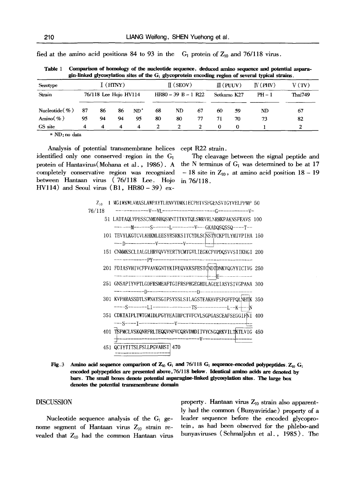| gui-miked glycosyfauon sites of the G <sub>1</sub> glycoprotein encountig region of several typical strains, |            |                       |    |        |    |                       |                |    |                      |        |                |
|--------------------------------------------------------------------------------------------------------------|------------|-----------------------|----|--------|----|-----------------------|----------------|----|----------------------|--------|----------------|
| Serotype                                                                                                     | $I$ (HTNY) |                       |    |        |    | $\mathbb{I}$ (SEOV)   |                |    | $\mathbb{II}$ (PUUV) | W(PHV) | V(TV)          |
| Strain                                                                                                       |            | 76/118 Lee Hojo HV114 |    |        |    | $HR80 - 39 B - 1 R22$ |                |    | Sotkamo K27          | $PH-1$ | <b>Thai749</b> |
| Nucleotide $(\% )$                                                                                           | 87         | 86                    | 86 | $ND^*$ | 68 | ND                    | 67             | 60 | 59                   | ND     | 67             |
| Amino $(\%$ )                                                                                                | 95         | 94                    | 94 | 95     | 80 | 80                    | 77             | 71 | 70                   | 73     | 82             |
| GS site                                                                                                      | 4          | 4                     | 4  | 4      | 2  |                       | $\overline{2}$ | 0  | 0                    |        |                |
| $-$                                                                                                          |            |                       |    |        |    |                       |                |    |                      |        |                |

fied at the amino acid positions 84 to 93 in the  $G_1$  protein of  $Z_{10}$  and 76/118 virus.

**Table 1 Comparison of homology of the nueleotide sequence,** deduced amino sequence and potential asparagin-linked **glycosylation sites of the G 1 glycoprotein encoding region of several typical strains.** 

**\* ND:** no data

Analysis of potential transmembrane helices identified only one conserved-region in the G1 protein of Hantavirus(Mohana et al., 1986). A completely conservative region was recognized between Hantaan virus (76/118 Lee. Hojo HV114) and Seoul virus  $(B1, HR80 - 39)$  ex-

cept R22 strain.

The cleavage between the signal peptide and the N terminus of  $G_1$  was determined to be at 17  $-18$  site in  $Z_{10}$ , at amino acid position  $18 - 19$ in 76/118.



| 76/118 |                                                             |  |
|--------|-------------------------------------------------------------|--|
|        | 51 LADTAQLVPESSCNMDNHQSMNTITKYTQLSWRVRLNRHKPAKNSFEAVS 100   |  |
|        |                                                             |  |
|        | 101 TEVYLKGTCVLKHKMLEESYRSRKSITCYDLSCNSTYCKPTLYMIVPIHA 150  |  |
|        |                                                             |  |
|        | 151 CNMMKSCLIALGLHRVQVVYERTYCMTGVLIEGKCFVPDQSVVSIIKHGI 200  |  |
|        |                                                             |  |
|        | 201 FDIASVHIVCFFVAVKGNTYKIFEQVKKSFESTCNDTDNKVQGYYICIVG 250  |  |
|        |                                                             |  |
|        | 251 GNSAPIYVPTLGDFRSMEAFTGIFRSPHGEGHDLAGEEIASYSIVGPANA 300  |  |
|        | 301 KVPHRASSDTLSWNAYSGIPSYSSLSILAGSTEAKHVFSPGFFPQLNHTK 350  |  |
|        |                                                             |  |
|        | 351 CDKTAIPLTWTGMIDLPGYYEAIIIPCTVFCVLSGPGASCEAFSEGGIFNI 400 |  |
|        |                                                             |  |
|        | 401 TSPMCLVSKQNRFRLTEQQVNFVCQRVDMDIIVYCNGQRKVILTKTLVIG 450  |  |
|        |                                                             |  |
|        | 451 QCIYTITSLFSLLPGVAHSI 470                                |  |
|        |                                                             |  |

**Fig. 3**  Amino acid sequence comparison of  $Z_{10}$  G<sub>I</sub> and 76/118 G<sub>I</sub> sequence-encoded polypeptides.  $Z_{10}$  G<sub>I</sub> encoded polypeptides are presented above,76/118 below. Identical amino acids are denoted by bars. The small boxes denote potential asparagine-linked glycosylation sites. The large box **denotes the potential transmembrane domain** 

#### DISCUSSION

Nucleotide sequence analysis of the  $G_1$  genome segment of Hantaan virus  $Z_{10}$  strain revealed that  $Z_{10}$  had the common Hantaan virus property. Hantaan virus  $Z_{10}$  strain also apparently had the common (Bunyaviridae) property of a leader sequence before the encoded glyeoprotein, as had been observed for the phlebo-and bunyaviruses (Schmaljohn et al., 1985). The